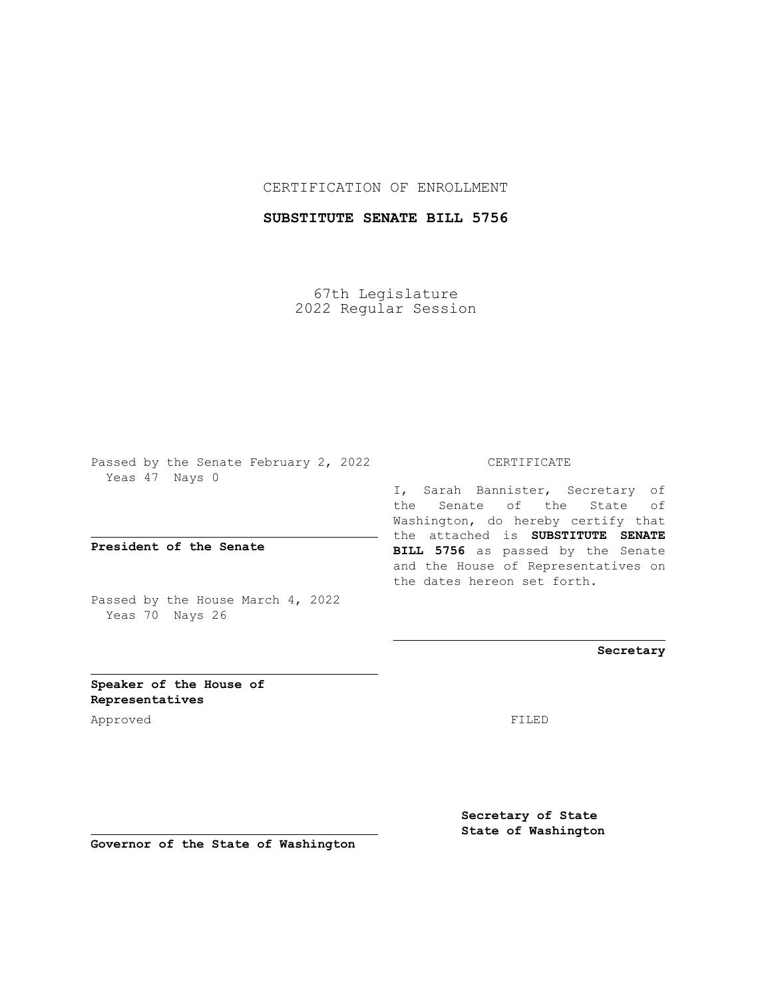## CERTIFICATION OF ENROLLMENT

## **SUBSTITUTE SENATE BILL 5756**

67th Legislature 2022 Regular Session

Passed by the Senate February 2, 2022 Yeas 47 Nays 0

**President of the Senate**

Passed by the House March 4, 2022 Yeas 70 Nays 26

CERTIFICATE

I, Sarah Bannister, Secretary of the Senate of the State of Washington, do hereby certify that the attached is **SUBSTITUTE SENATE BILL 5756** as passed by the Senate and the House of Representatives on the dates hereon set forth.

**Secretary**

**Speaker of the House of Representatives**

Approved FILED

**Secretary of State State of Washington**

**Governor of the State of Washington**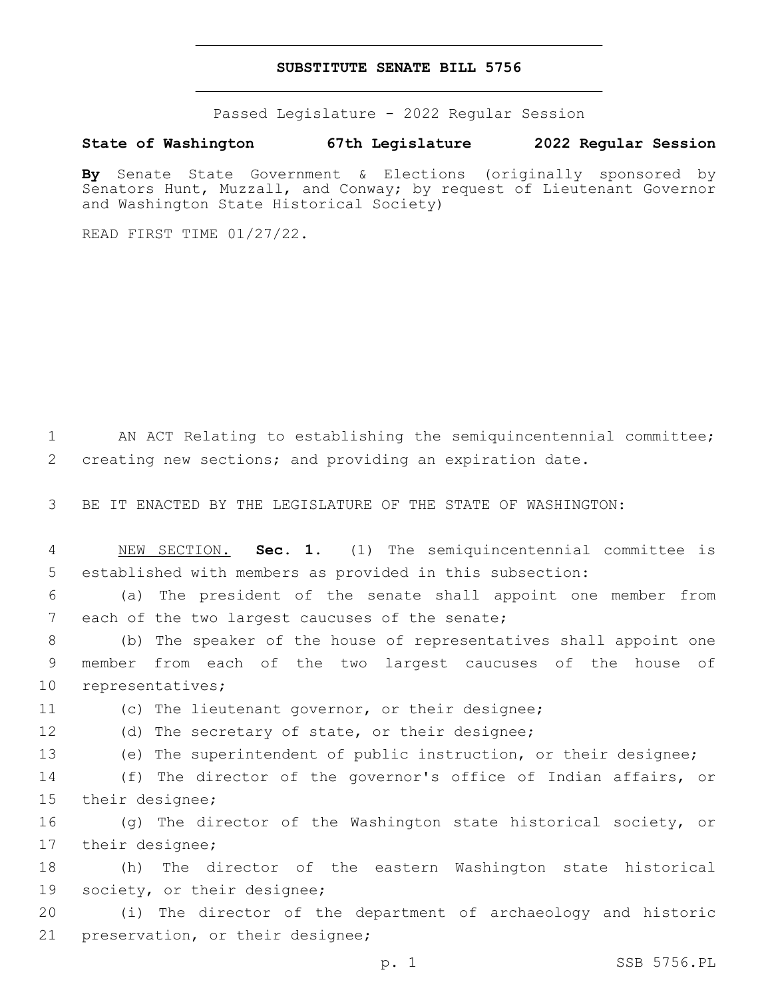## **SUBSTITUTE SENATE BILL 5756**

Passed Legislature - 2022 Regular Session

## **State of Washington 67th Legislature 2022 Regular Session**

**By** Senate State Government & Elections (originally sponsored by Senators Hunt, Muzzall, and Conway; by request of Lieutenant Governor and Washington State Historical Society)

READ FIRST TIME 01/27/22.

1 AN ACT Relating to establishing the semiquincentennial committee; 2 creating new sections; and providing an expiration date.

3 BE IT ENACTED BY THE LEGISLATURE OF THE STATE OF WASHINGTON:

4 NEW SECTION. **Sec. 1.** (1) The semiquincentennial committee is 5 established with members as provided in this subsection:

6 (a) The president of the senate shall appoint one member from 7 each of the two largest caucuses of the senate;

8 (b) The speaker of the house of representatives shall appoint one 9 member from each of the two largest caucuses of the house of 10 representatives;

11 (c) The lieutenant governor, or their designee;

12 (d) The secretary of state, or their designee;

13 (e) The superintendent of public instruction, or their designee;

14 (f) The director of the governor's office of Indian affairs, or 15 their designee;

16 (g) The director of the Washington state historical society, or 17 their designee;

18 (h) The director of the eastern Washington state historical 19 society, or their designee;

20 (i) The director of the department of archaeology and historic 21 preservation, or their designee;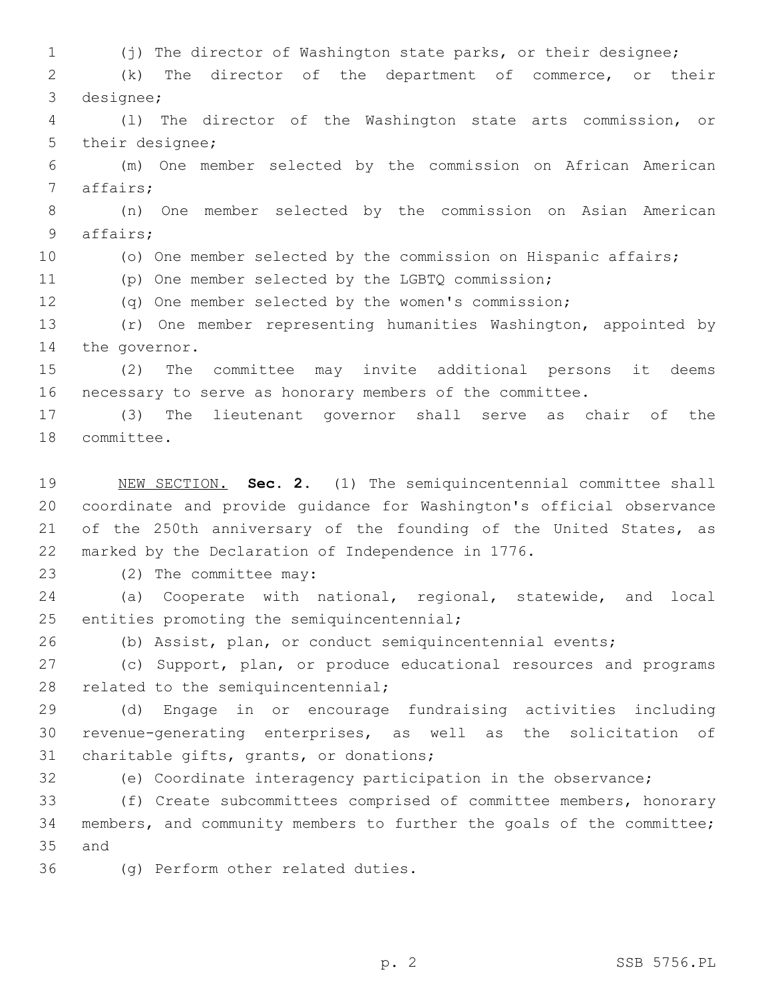(j) The director of Washington state parks, or their designee; (k) The director of the department of commerce, or their 3 designee; (l) The director of the Washington state arts commission, or 5 their designee; (m) One member selected by the commission on African American 7 affairs; (n) One member selected by the commission on Asian American 9 affairs; (o) One member selected by the commission on Hispanic affairs; (p) One member selected by the LGBTQ commission; (q) One member selected by the women's commission; (r) One member representing humanities Washington, appointed by 14 the governor. (2) The committee may invite additional persons it deems necessary to serve as honorary members of the committee. (3) The lieutenant governor shall serve as chair of the 18 committee.

 NEW SECTION. **Sec. 2.** (1) The semiquincentennial committee shall coordinate and provide guidance for Washington's official observance 21 of the 250th anniversary of the founding of the United States, as marked by the Declaration of Independence in 1776.

23 (2) The committee may:

 (a) Cooperate with national, regional, statewide, and local 25 entities promoting the semiquincentennial;

(b) Assist, plan, or conduct semiquincentennial events;

 (c) Support, plan, or produce educational resources and programs 28 related to the semiquincentennial;

 (d) Engage in or encourage fundraising activities including revenue-generating enterprises, as well as the solicitation of 31 charitable gifts, grants, or donations;

(e) Coordinate interagency participation in the observance;

 (f) Create subcommittees comprised of committee members, honorary members, and community members to further the goals of the committee; 35 and

36 (g) Perform other related duties.